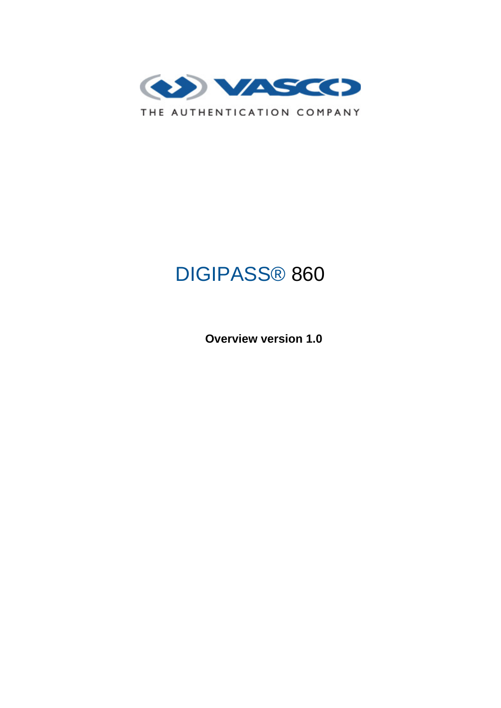

# DIGIPASS® 860

 **Overview version 1.0**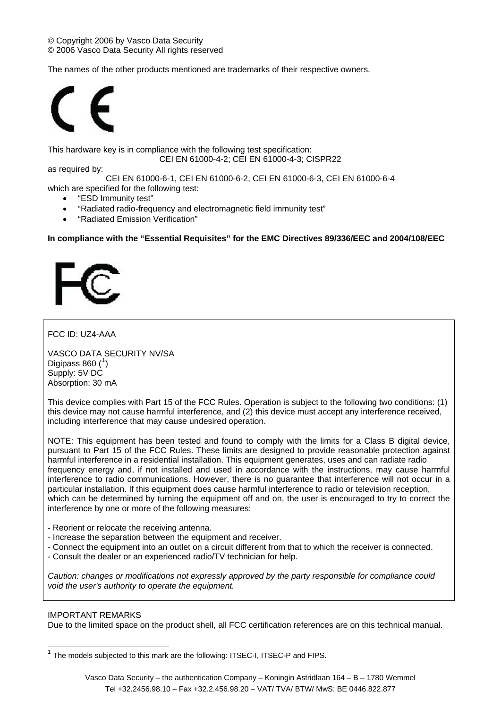The names of the other products mentioned are trademarks of their respective owners.



This hardware key is in compliance with the following test specification:

CEI EN 61000-4-2; CEI EN 61000-4-3; CISPR22

as required by:

CEI EN 61000-6-1, CEI EN 61000-6-2, CEI EN 61000-6-3, CEI EN 61000-6-4 which are specified for the following test:

- "ESD Immunity test"
- "Radiated radio-frequency and electromagnetic field immunity test"
- "Radiated Emission Verification"

## **In compliance with the "Essential Requisites" for the EMC Directives 89/336/EEC and 2004/108/EEC**



# FCC ID: UZ4-AAA

VASCO DATA SECURITY NV/SA Digipass 860 $(^{1})$  $(^{1})$  $(^{1})$ Supply: 5V DC Absorption: 30 mA

This device complies with Part 15 of the FCC Rules. Operation is subject to the following two conditions: (1) this device may not cause harmful interference, and (2) this device must accept any interference received, including interference that may cause undesired operation.

NOTE: This equipment has been tested and found to comply with the limits for a Class B digital device, pursuant to Part 15 of the FCC Rules. These limits are designed to provide reasonable protection against harmful interference in a residential installation. This equipment generates, uses and can radiate radio frequency energy and, if not installed and used in accordance with the instructions, may cause harmful interference to radio communications. However, there is no guarantee that interference will not occur in a particular installation. If this equipment does cause harmful interference to radio or television reception, which can be determined by turning the equipment off and on, the user is encouraged to try to correct the interference by one or more of the following measures:

- Reorient or relocate the receiving antenna.
- Increase the separation between the equipment and receiver.
- Connect the equipment into an outlet on a circuit different from that to which the receiver is connected.
- Consult the dealer or an experienced radio/TV technician for help.

*Caution: changes or modifications not expressly approved by the party responsible for compliance could void the user's authority to operate the equipment.*

# IMPORTANT REMARKS

 $\overline{a}$ 

Due to the limited space on the product shell, all FCC certification references are on this technical manual.

<span id="page-1-0"></span> $1$  The models subjected to this mark are the following: ITSEC-I, ITSEC-P and FIPS.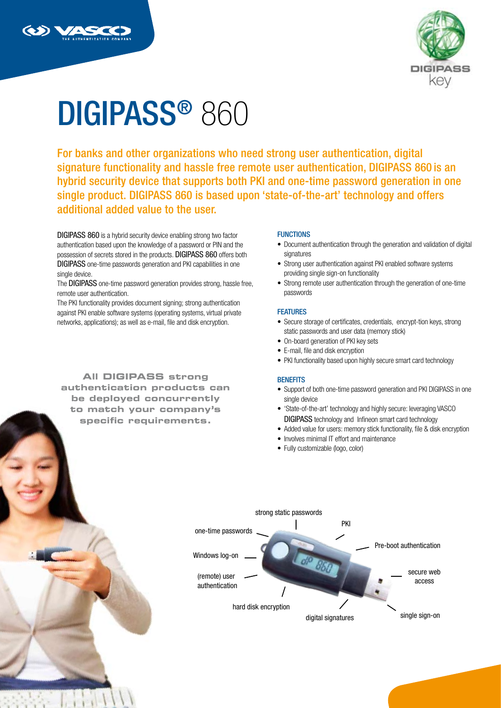



# DIGIPASS® 860

For banks and other organizations who need strong user authentication, digital signature functionality and hassle free remote user authentication, DIGIPASS 860 is an hybrid security device that supports both PKI and one-time password generation in one single product. DIGIPASS 860 is based upon 'state-of-the-art' technology and offers additional added value to the user.

DIGIPASS 860 is a hybrid security device enabling strong two factor authentication based upon the knowledge of a password or PIN and the possession of secrets stored in the products. DIGIPASS 860 offers both DIGIPASS one-time passwords generation and PKI capabilities in one single device.

The DIGIPASS one-time password generation provides strong, hassle free, remote user authentication.

The PKI functionality provides document signing; strong authentication against PKI enable software systems (operating systems, virtual private networks, applications); as well as e-mail, file and disk encryption.

**All DIGIPASS strong authentication products can be deployed concurrently to match your company's specific requirements.**

#### **FUNCTIONS**

- Document authentication through the generation and validation of digital signatures
- Strong user authentication against PKI enabled software systems providing single sign-on functionality
- Strong remote user authentication through the generation of one-time passwords

#### **FEATURES**

- Secure storage of certificates, credentials, encrypt-tion keys, strong static passwords and user data (memory stick)
- On-board generation of PKI key sets
- E-mail, file and disk encryption
- PKI functionality based upon highly secure smart card technology

#### **BENEFITS**

- Support of both one-time password generation and PKI DIGIPASS in one single device
- 'State-of-the-art' technology and highly secure: leveraging VASCO DIGIPASS technology and Infineon smart card technology
- Added value for users: memory stick functionality, file & disk encryption
- Involves minimal IT effort and maintenance
- Fully customizable (logo, color)